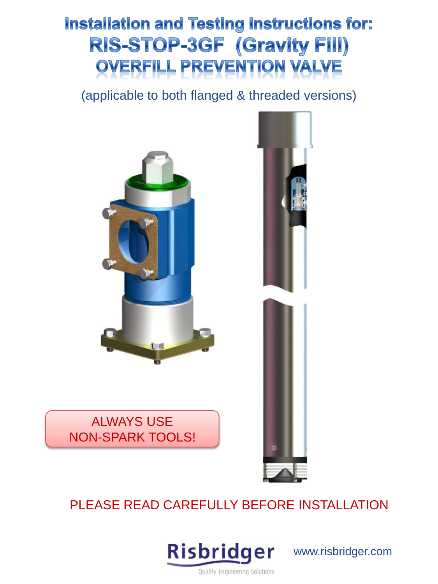# Installation and Testing Instructions for: **RIS-STOP-3GF (Gravity Fill) OVERFILL PREVENTION VALVE**

(applicable to both flanged & threaded versions)







# PLEASE READ CAREFULLY BEFORE INSTALLATION



www.risbridger.com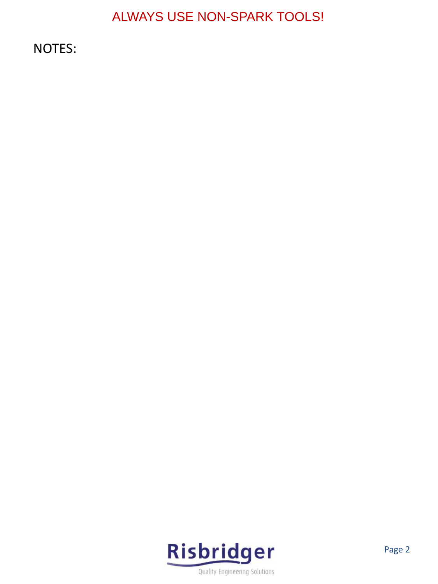NOTES:

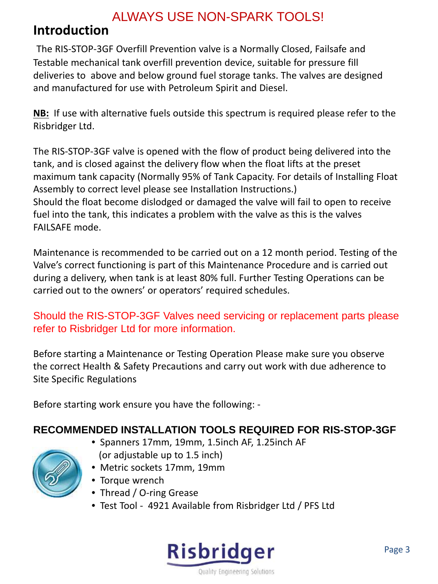### **Introduction**

The RIS-STOP-3GF Overfill Prevention valve is a Normally Closed, Failsafe and Testable mechanical tank overfill prevention device, suitable for pressure fill deliveries to above and below ground fuel storage tanks. The valves are designed and manufactured for use with Petroleum Spirit and Diesel.

**NB:** If use with alternative fuels outside this spectrum is required please refer to the Risbridger Ltd.

The RIS-STOP-3GF valve is opened with the flow of product being delivered into the tank, and is closed against the delivery flow when the float lifts at the preset maximum tank capacity (Normally 95% of Tank Capacity. For details of Installing Float Assembly to correct level please see Installation Instructions.) Should the float become dislodged or damaged the valve will fail to open to receive fuel into the tank, this indicates a problem with the valve as this is the valves FAILSAFE mode.

Maintenance is recommended to be carried out on a 12 month period. Testing of the Valve's correct functioning is part of this Maintenance Procedure and is carried out during a delivery, when tank is at least 80% full. Further Testing Operations can be carried out to the owners' or operators' required schedules.

### Should the RIS-STOP-3GF Valves need servicing or replacement parts please refer to Risbridger Ltd for more information.

Before starting a Maintenance or Testing Operation Please make sure you observe the correct Health & Safety Precautions and carry out work with due adherence to Site Specific Regulations

Before starting work ensure you have the following: -

### **RECOMMENDED INSTALLATION TOOLS REQUIRED FOR RIS-STOP-3GF**

- Spanners 17mm, 19mm, 1.5inch AF, 1.25inch AF (or adjustable up to 1.5 inch)
- Metric sockets 17mm, 19mm
- Torque wrench
- Thread / O-ring Grease
- Test Tool 4921 Available from Risbridger Ltd / PFS Ltd

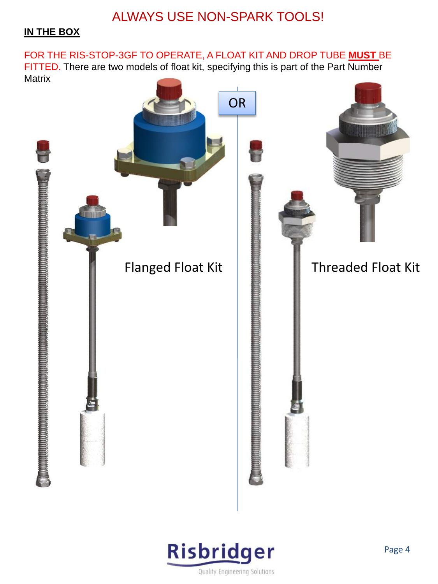#### **IN THE BOX**

FOR THE RIS-STOP-3GF TO OPERATE, A FLOAT KIT AND DROP TUBE **MUST** BE FITTED. There are two models of float kit, specifying this is part of the Part Number **Matrix** 



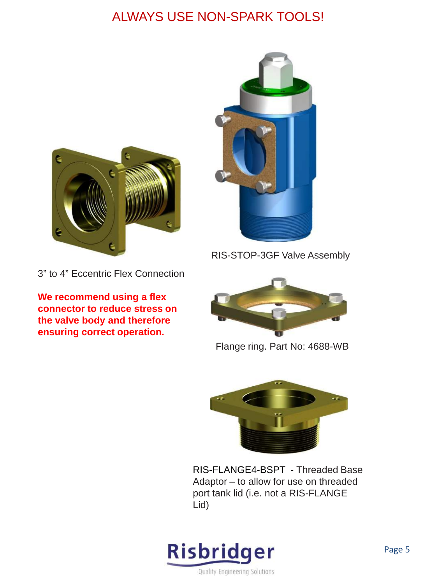



**We recommend using a flex connector to reduce stress on the valve body and therefore ensuring correct operation.** 



RIS-STOP-3GF Valve Assembly



Flange ring. Part No: 4688-WB



RIS-FLANGE4-BSPT - Threaded Base Adaptor – to allow for use on threaded port tank lid (i.e. not a RIS-FLANGE Lid)

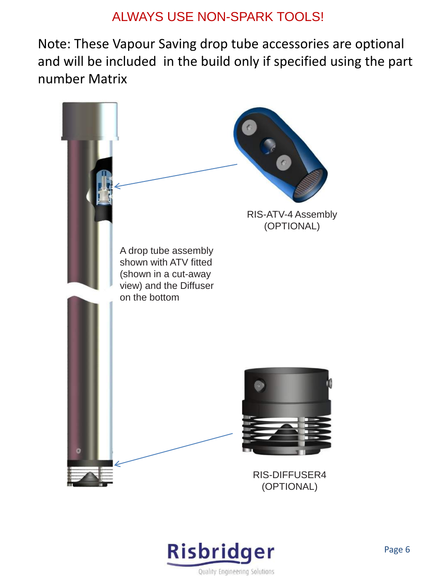Note: These Vapour Saving drop tube accessories are optional and will be included in the build only if specified using the part number Matrix



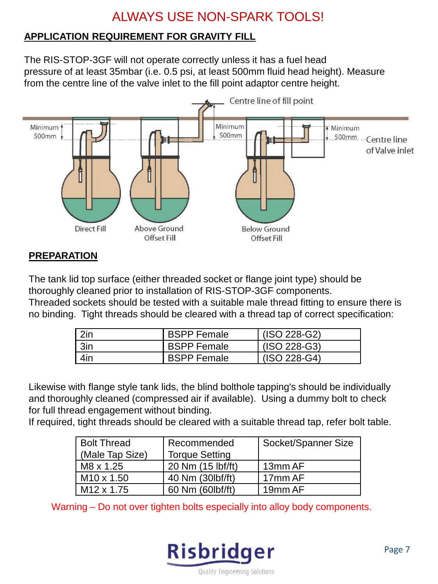#### **APPLICATION REQUIREMENT FOR GRAVITY FILL**

The RIS-STOP-3GF will not operate correctly unless it has a fuel head pressure of at least 35mbar (i.e. 0.5 psi, at least 500mm fluid head height). Measure from the centre line of the valve inlet to the fill point adaptor centre height.



#### **PREPARATION**

The tank lid top surface (either threaded socket or flange joint type) should be thoroughly cleaned prior to installation of RIS-STOP-3GF components. Threaded sockets should be tested with a suitable male thread fitting to ensure there is no binding. Tight threads should be cleared with a thread tap of correct specification:

| 2in | <b>BSPP Female</b> | $(ISO 228-G2)$ |
|-----|--------------------|----------------|
| 3in | <b>BSPP Female</b> | $(ISO 228-G3)$ |
| 4in | <b>BSPP Female</b> | $(ISO 228-G4)$ |

Likewise with flange style tank lids, the blind bolthole tapping's should be individually and thoroughly cleaned (compressed air if available). Using a dummy bolt to check for full thread engagement without binding.

If required, tight threads should be cleared with a suitable thread tap, refer bolt table.

| <b>Bolt Thread</b>     | Recommended           | Socket/Spanner Size |
|------------------------|-----------------------|---------------------|
| (Male Tap Size)        | <b>Torque Setting</b> |                     |
| M8 x 1.25              | 20 Nm (15 lbf/ft)     | 13mm AF             |
| M <sub>10</sub> x 1.50 | 40 Nm (30lbf/ft)      | l 17mm AF           |
| M <sub>12</sub> x 1.75 | 60 Nm (60lbf/ft)      | 19 <sub>mm</sub> AF |

Warning – Do not over tighten bolts especially into alloy body components.

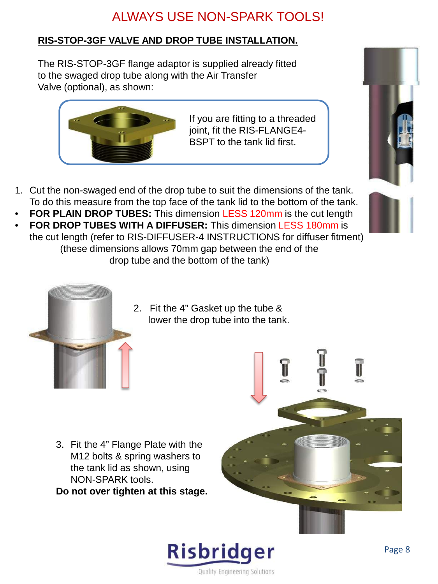### **RIS-STOP-3GF VALVE AND DROP TUBE INSTALLATION.**

The RIS-STOP-3GF flange adaptor is supplied already fitted to the swaged drop tube along with the Air Transfer Valve (optional), as shown:



If you are fitting to a threaded joint, fit the RIS-FLANGE4- BSPT to the tank lid first.

- 1. Cut the non-swaged end of the drop tube to suit the dimensions of the tank. To do this measure from the top face of the tank lid to the bottom of the tank.
- **FOR PLAIN DROP TUBES:** This dimension LESS 120mm is the cut length
- **FOR DROP TUBES WITH A DIFFUSER:** This dimension LESS 180mm is the cut length (refer to RIS-DIFFUSER-4 INSTRUCTIONS for diffuser fitment) (these dimensions allows 70mm gap between the end of the drop tube and the bottom of the tank)



2. Fit the 4" Gasket up the tube & lower the drop tube into the tank.

3. Fit the 4" Flange Plate with the M12 bolts & spring washers to the tank lid as shown, using NON-SPARK tools.

**Do not over tighten at this stage.**





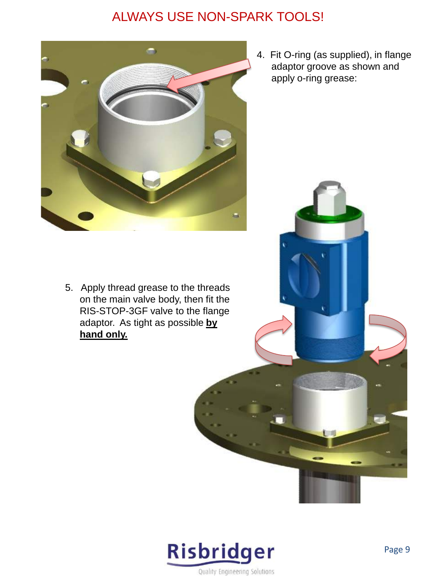

4. Fit O-ring (as supplied), in flange adaptor groove as shown and apply o-ring grease:

5. Apply thread grease to the threads on the main valve body, then fit the RIS-STOP-3GF valve to the flange adaptor. As tight as possible **by hand only.**

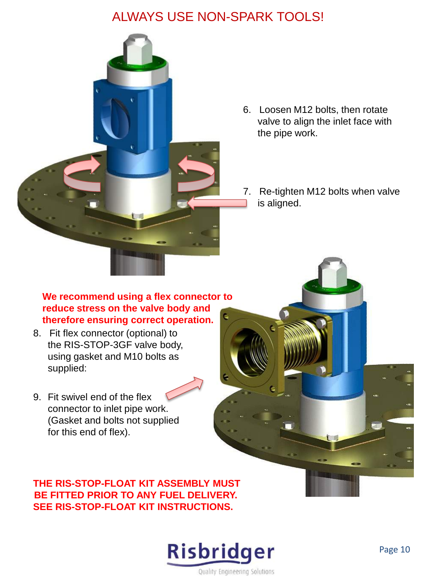

- 6. Loosen M12 bolts, then rotate valve to align the inlet face with the pipe work.
- 7. Re-tighten M12 bolts when valve is aligned.

#### **We recommend using a flex connector to reduce stress on the valve body and therefore ensuring correct operation.**

- 8. Fit flex connector (optional) to the RIS-STOP-3GF valve body, using gasket and M10 bolts as supplied:
- 9. Fit swivel end of the flex connector to inlet pipe work. (Gasket and bolts not supplied for this end of flex).

#### **THE RIS-STOP-FLOAT KIT ASSEMBLY MUST BE FITTED PRIOR TO ANY FUEL DELIVERY. SEE RIS-STOP-FLOAT KIT INSTRUCTIONS.**

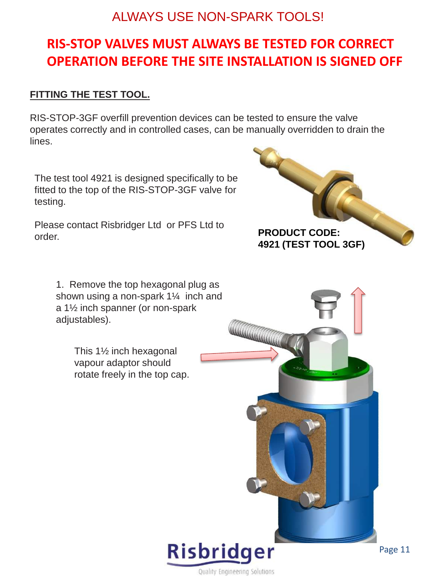# **RIS-STOP VALVES MUST ALWAYS BE TESTED FOR CORRECT OPERATION BEFORE THE SITE INSTALLATION IS SIGNED OFF**

#### **FITTING THE TEST TOOL.**

RIS-STOP-3GF overfill prevention devices can be tested to ensure the valve operates correctly and in controlled cases, can be manually overridden to drain the lines.

The test tool 4921 is designed specifically to be fitted to the top of the RIS-STOP-3GF valve for testing.

Please contact Risbridger Ltd or PFS Ltd to order.

> 1. Remove the top hexagonal plug as shown using a non-spark 1¼ inch and a 1½ inch spanner (or non-spark adjustables).

> > This 1½ inch hexagonal vapour adaptor should rotate freely in the top cap.





WWW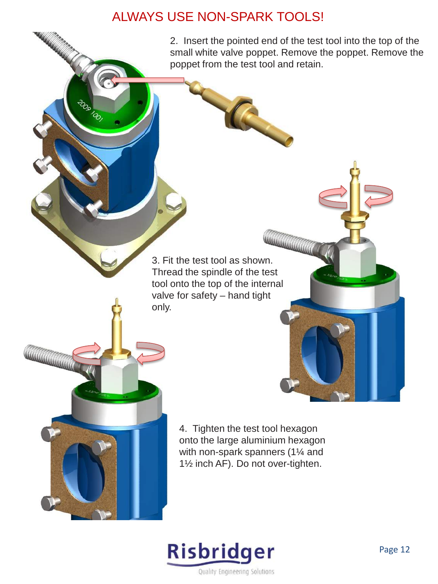OO O olop

**WEIGHTEN** 



**CONTROLLER DESCRIPTION OF STRAIGHTE** 

3. Fit the test tool as shown. Thread the spindle of the test tool onto the top of the internal valve for safety – hand tight only.

> 4. Tighten the test tool hexagon onto the large aluminium hexagon with non-spark spanners (1¼ and 1½ inch AF). Do not over-tighten.

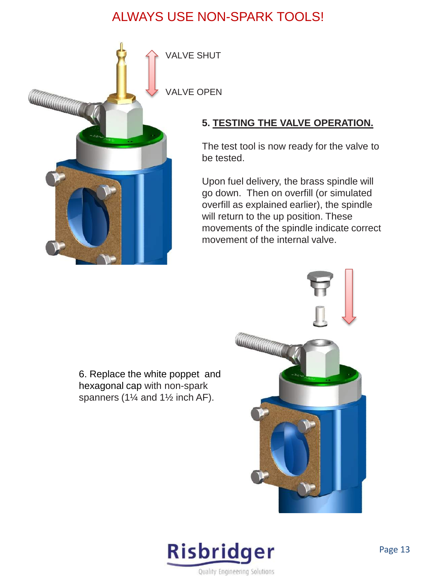

### **5. TESTING THE VALVE OPERATION.**

The test tool is now ready for the valve to be tested.

Upon fuel delivery, the brass spindle will go down. Then on overfill (or simulated overfill as explained earlier), the spindle will return to the up position. These movements of the spindle indicate correct movement of the internal valve.

6. Replace the white poppet and hexagonal cap with non-spark spanners (1¼ and 1½ inch AF).



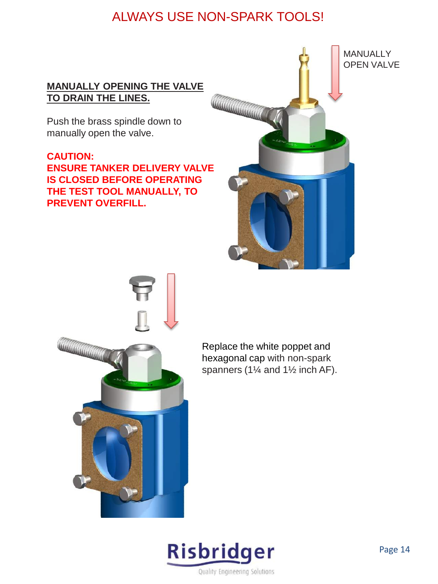#### **MANUALLY OPENING THE VALVE TO DRAIN THE LINES.**

Push the brass spindle down to manually open the valve.

#### **CAUTION: ENSURE TANKER DELIVERY VALVE IS CLOSED BEFORE OPERATING THE TEST TOOL MANUALLY, TO PREVENT OVERFILL.**





Replace the white poppet and hexagonal cap with non-spark spanners (1¼ and 1½ inch AF).

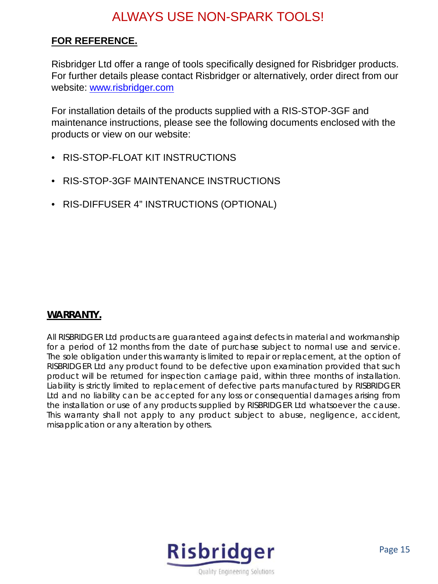#### **FOR REFERENCE.**

Risbridger Ltd offer a range of tools specifically designed for Risbridger products. For further details please contact Risbridger or alternatively, order direct from our website: [www.risbridger.com](http://www.risbridger.com/)

For installation details of the products supplied with a RIS-STOP-3GF and maintenance instructions, please see the following documents enclosed with the products or view on our website:

- RIS-STOP-FLOAT KIT INSTRUCTIONS
- RIS-STOP-3GF MAINTENANCE INSTRUCTIONS
- RIS-DIFFUSER 4" INSTRUCTIONS (OPTIONAL)

#### **WARRANTY.**

All RISBRIDGER Ltd products are guaranteed against defects in material and workmanship for a period of 12 months from the date of purchase subject to normal use and service. The sole obligation under this warranty is limited to repair or replacement, at the option of RISBRIDGER Ltd any product found to be defective upon examination provided that such product will be returned for inspection carriage paid, within three months of installation. Liability is strictly limited to replacement of defective parts manufactured by RISBRIDGER Ltd and no liability can be accepted for any loss or consequential damages arising from the installation or use of any products supplied by RISBRIDGER Ltd whatsoever the cause. This warranty shall not apply to any product subject to abuse, negligence, accident, misapplication or any alteration by others.